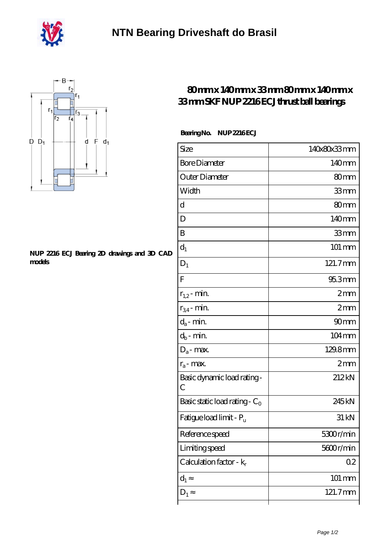



## **[NUP 2216 ECJ Bearing 2D drawings and 3D CAD](https://personal-growth-with-corinne-edwards.com/pic-431126.html) [models](https://personal-growth-with-corinne-edwards.com/pic-431126.html)**

## **[80 mm x 140 mm x 33 mm 80 mm x 140 mm x](https://personal-growth-with-corinne-edwards.com/bd-431126-skf-nup-2216-ecj-thrust-ball-bearings.html) [33 mm SKF NUP 2216 ECJ thrust ball bearings](https://personal-growth-with-corinne-edwards.com/bd-431126-skf-nup-2216-ecj-thrust-ball-bearings.html)**

## **Bearing No. NUP 2216 ECJ**

| Size                                | 140x80x33mm        |
|-------------------------------------|--------------------|
| <b>Bore Diameter</b>                | 140mm              |
| Outer Diameter                      | 80mm               |
| Width                               | 33mm               |
| d                                   | 80 <sub>mm</sub>   |
| D                                   | 140mm              |
| B                                   | 33mm               |
| $d_1$                               | $101 \text{ mm}$   |
| $D_1$                               | 121.7mm            |
| $\rm F$                             | 95.3mm             |
| $r_{1,2}$ - min.                    | 2mm                |
| $r_{34}$ - min.                     | 2mm                |
| $d_a$ - min.                        | 90 <sub>mm</sub>   |
| $d_b$ - min.                        | 104mm              |
| $D_a$ - max.                        | 129.8mm            |
| $r_a$ - max.                        | 2mm                |
| Basic dynamic load rating-<br>С     | 212kN              |
| Basic static load rating - $C_0$    | 245kN              |
| Fatigue load limit - P <sub>u</sub> | 31 kN              |
| Reference speed                     | 5300r/min          |
| Limiting speed                      | 5600r/min          |
| Calculation factor - k <sub>r</sub> | $02\,$             |
| $d_1$                               | $101 \, \text{mm}$ |
| $D_1$                               | 121.7mm            |
|                                     |                    |